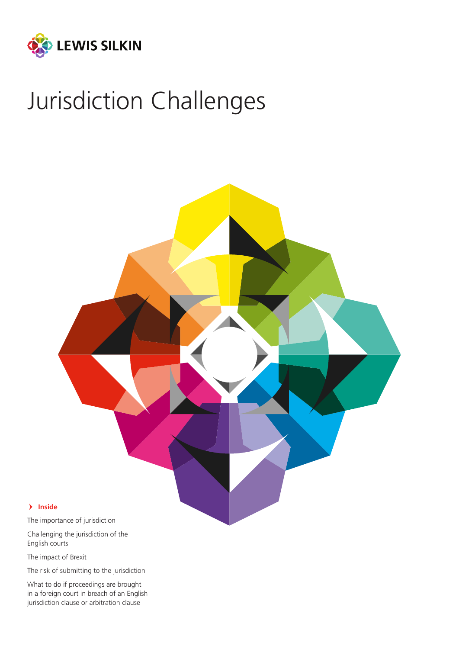

# Jurisdiction Challenges



- **Inside**

The importance of jurisdiction

Challenging the jurisdiction of the English courts

The impact of Brexit

The risk of submitting to the jurisdiction

What to do if proceedings are brought in a foreign court in breach of an English jurisdiction clause or arbitration clause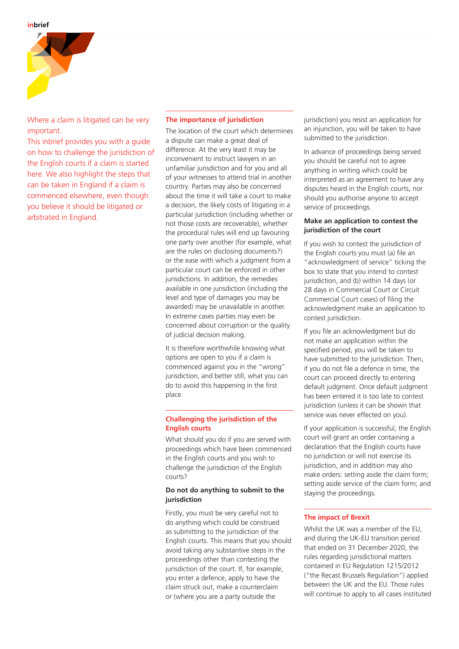

Where a claim is litigated can be very important.

This inbrief provides you with a guide on how to challenge the jurisdiction of the English courts if a claim is started here. We also highlight the steps that can be taken in England if a claim is commenced elsewhere, even though you believe it should be litigated or arbitrated in England.

#### **The importance of jurisdiction**

The location of the court which determines a dispute can make a great deal of difference. At the very least it may be inconvenient to instruct lawyers in an unfamiliar jurisdiction and for you and all of your witnesses to attend trial in another country. Parties may also be concerned about the time it will take a court to make a decision, the likely costs of litigating in a particular jurisdiction (including whether or not those costs are recoverable), whether the procedural rules will end up favouring one party over another (for example, what are the rules on disclosing documents?) or the ease with which a judgment from a particular court can be enforced in other jurisdictions. In addition, the remedies available in one jurisdiction (including the level and type of damages you may be awarded) may be unavailable in another. In extreme cases parties may even be concerned about corruption or the quality of judicial decision making.

It is therefore worthwhile knowing what options are open to you if a claim is commenced against you in the "wrong" jurisdiction, and better still, what you can do to avoid this happening in the first place.

## **Challenging the jurisdiction of the English courts**

What should you do if you are served with proceedings which have been commenced in the English courts and you wish to challenge the jurisdiction of the English courts?

#### **Do not do anything to submit to the jurisdiction**

Firstly, you must be very careful not to do anything which could be construed as submitting to the jurisdiction of the English courts. This means that you should avoid taking any substantive steps in the proceedings other than contesting the jurisdiction of the court. If, for example, you enter a defence, apply to have the claim struck out, make a counterclaim or (where you are a party outside the

jurisdiction) you resist an application for an injunction, you will be taken to have submitted to the jurisdiction.

In advance of proceedings being served you should be careful not to agree anything in writing which could be interpreted as an agreement to have any disputes heard in the English courts, nor should you authorise anyone to accept service of proceedings.

## **Make an application to contest the jurisdiction of the court**

If you wish to contest the jurisdiction of the English courts you must (a) file an "acknowledgment of service" ticking the box to state that you intend to contest jurisdiction, and (b) within 14 days (or 28 days in Commercial Court or Circuit Commercial Court cases) of filing the acknowledgment make an application to contest jurisdiction.

If you file an acknowledgment but do not make an application within the specified period, you will be taken to have submitted to the jurisdiction. Then, if you do not file a defence in time, the court can proceed directly to entering default judgment. Once default judgment has been entered it is too late to contest jurisdiction (unless it can be shown that service was never effected on you).

If your application is successful, the English court will grant an order containing a declaration that the English courts have no jurisdiction or will not exercise its jurisdiction, and in addition may also make orders: setting aside the claim form; setting aside service of the claim form; and staying the proceedings.

# **The impact of Brexit**

Whilst the UK was a member of the EU, and during the UK-EU transition period that ended on 31 December 2020, the rules regarding jurisdictional matters contained in EU Regulation 1215/2012 ("the Recast Brussels Regulation") applied between the UK and the EU. Those rules will continue to apply to all cases instituted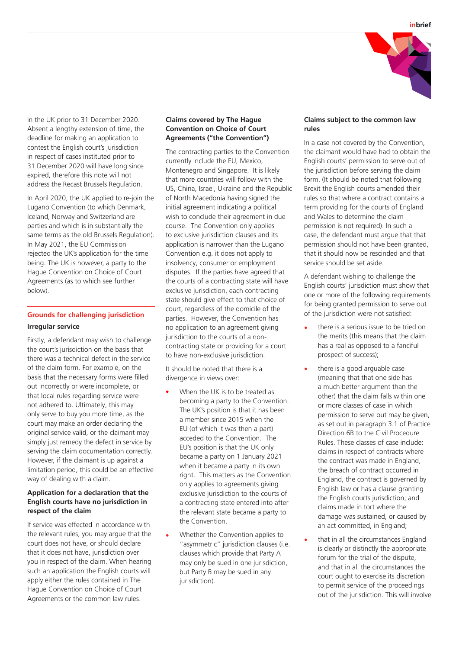



in the UK prior to 31 December 2020. Absent a lengthy extension of time, the deadline for making an application to contest the English court's jurisdiction in respect of cases instituted prior to 31 December 2020 will have long since expired, therefore this note will not address the Recast Brussels Regulation.

In April 2020, the UK applied to re-join the Lugano Convention (to which Denmark, Iceland, Norway and Switzerland are parties and which is in substantially the same terms as the old Brussels Regulation). In May 2021, the EU Commission rejected the UK's application for the time being. The UK is however, a party to the Hague Convention on Choice of Court Agreements (as to which see further below).

# **Grounds for challenging jurisdiction Irregular service**

Firstly, a defendant may wish to challenge the court's jurisdiction on the basis that there was a technical defect in the service of the claim form. For example, on the basis that the necessary forms were filled out incorrectly or were incomplete, or that local rules regarding service were not adhered to. Ultimately, this may only serve to buy you more time, as the court may make an order declaring the original service valid, or the claimant may simply just remedy the defect in service by serving the claim documentation correctly. However, if the claimant is up against a limitation period, this could be an effective way of dealing with a claim.

# **Application for a declaration that the English courts have no jurisdiction in respect of the claim**

If service was effected in accordance with the relevant rules, you may argue that the court does not have, or should declare that it does not have, jurisdiction over you in respect of the claim. When hearing such an application the English courts will apply either the rules contained in The Hague Convention on Choice of Court Agreements or the common law rules.

# **Claims covered by The Hague Convention on Choice of Court Agreements ("the Convention")**

The contracting parties to the Convention currently include the EU, Mexico, Montenegro and Singapore. It is likely that more countries will follow with the US, China, Israel, Ukraine and the Republic of North Macedonia having signed the initial agreement indicating a political wish to conclude their agreement in due course. The Convention only applies to exclusive jurisdiction clauses and its application is narrower than the Lugano Convention e.g. it does not apply to insolvency, consumer or employment disputes. If the parties have agreed that the courts of a contracting state will have exclusive jurisdiction, each contracting state should give effect to that choice of court, regardless of the domicile of the parties. However, the Convention has no application to an agreement giving jurisdiction to the courts of a noncontracting state or providing for a court to have non-exclusive jurisdiction.

It should be noted that there is a divergence in views over:

- When the UK is to be treated as becoming a party to the Convention. The UK's position is that it has been a member since 2015 when the EU (of which it was then a part) acceded to the Convention. The EU's position is that the UK only became a party on 1 January 2021 when it became a party in its own right. This matters as the Convention only applies to agreements giving exclusive jurisdiction to the courts of a contracting state entered into after the relevant state became a party to the Convention.
- **•** Whether the Convention applies to "asymmetric" jurisdiction clauses (i.e. clauses which provide that Party A may only be sued in one jurisdiction, but Party B may be sued in any jurisdiction).

#### **Claims subject to the common law rules**

In a case not covered by the Convention, the claimant would have had to obtain the English courts' permission to serve out of the jurisdiction before serving the claim form. (It should be noted that following Brexit the English courts amended their rules so that where a contract contains a term providing for the courts of England and Wales to determine the claim permission is not required). In such a case, the defendant must argue that that permission should not have been granted, that it should now be rescinded and that service should be set aside.

A defendant wishing to challenge the English courts' jurisdiction must show that one or more of the following requirements for being granted permission to serve out of the jurisdiction were not satisfied:

- **•** there is a serious issue to be tried on the merits (this means that the claim has a real as opposed to a fanciful prospect of success);
- **•** there is a good arguable case (meaning that that one side has a much better argument than the other) that the claim falls within one or more classes of case in which permission to serve out may be given, as set out in paragraph 3.1 of Practice Direction 6B to the Civil Procedure Rules. These classes of case include: claims in respect of contracts where the contract was made in England, the breach of contract occurred in England, the contract is governed by English law or has a clause granting the English courts jurisdiction; and claims made in tort where the damage was sustained, or caused by an act committed, in England;
- **•** that in all the circumstances England is clearly or distinctly the appropriate forum for the trial of the dispute, and that in all the circumstances the court ought to exercise its discretion to permit service of the proceedings out of the jurisdiction. This will involve